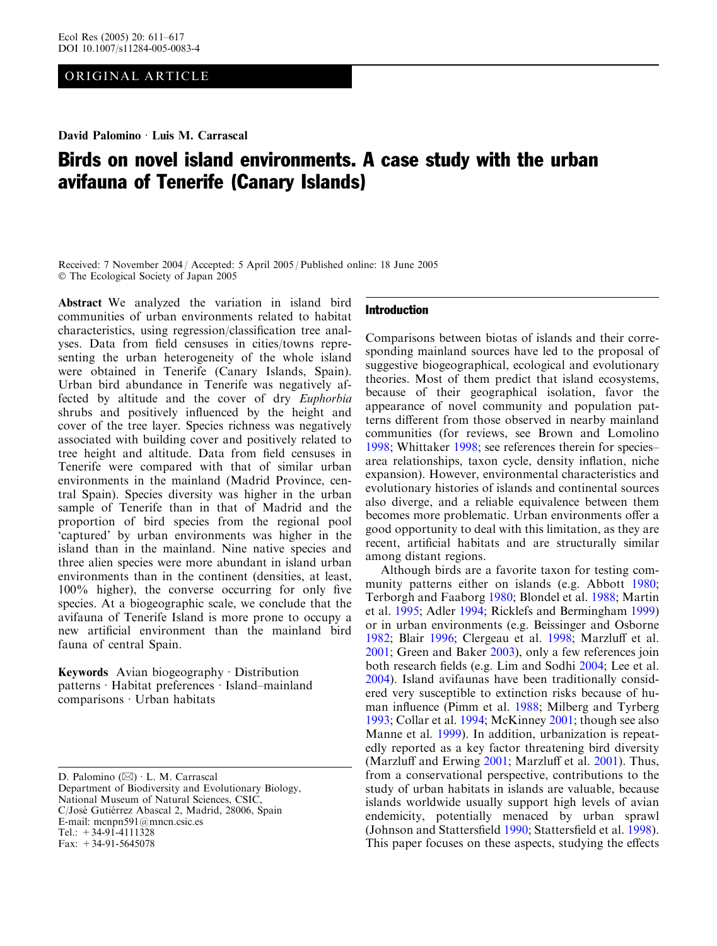# ORIGINAL ARTICLE

David Palomino · Luis M. Carrascal

# Birds on novel island environments. A case study with the urban avifauna of Tenerife (Canary Islands)

Received: 7 November 2004 / Accepted: 5 April 2005 / Published online: 18 June 2005 The Ecological Society of Japan 2005

Abstract We analyzed the variation in island bird communities of urban environments related to habitat characteristics, using regression/classification tree analyses. Data from field censuses in cities/towns representing the urban heterogeneity of the whole island were obtained in Tenerife (Canary Islands, Spain). Urban bird abundance in Tenerife was negatively affected by altitude and the cover of dry Euphorbia shrubs and positively influenced by the height and cover of the tree layer. Species richness was negatively associated with building cover and positively related to tree height and altitude. Data from field censuses in Tenerife were compared with that of similar urban environments in the mainland (Madrid Province, central Spain). Species diversity was higher in the urban sample of Tenerife than in that of Madrid and the proportion of bird species from the regional pool 'captured' by urban environments was higher in the island than in the mainland. Nine native species and three alien species were more abundant in island urban environments than in the continent (densities, at least, 100% higher), the converse occurring for only five species. At a biogeographic scale, we conclude that the avifauna of Tenerife Island is more prone to occupy a new artificial environment than the mainland bird fauna of central Spain.

Keywords Avian biogeography  $\cdot$  Distribution patterns · Habitat preferences · Island–mainland  $comparisons \cdot Urban habitats$ 

D. Palomino  $(\boxtimes)$  · L. M. Carrascal Department of Biodiversity and Evolutionary Biology, National Museum of Natural Sciences, CSIC, C/José Gutiérrez Abascal 2, Madrid, 28006, Spain E-mail: mcnpn591@mncn.csic.es Tel.:  $+34-91-4111328$ Fax:  $+34-91-5645078$ 

## Introduction

Comparisons between biotas of islands and their corresponding mainland sources have led to the proposal of suggestive biogeographical, ecological and evolutionary theories. Most of them predict that island ecosystems, because of their geographical isolation, favor the appearance of novel community and population patterns different from those observed in nearby mainland communities (for reviews, see Brown and Lomolino [1998;](#page-5-0) Whittaker [1998;](#page-6-0) see references therein for species– area relationships, taxon cycle, density inflation, niche expansion). However, environmental characteristics and evolutionary histories of islands and continental sources also diverge, and a reliable equivalence between them becomes more problematic. Urban environments offer a good opportunity to deal with this limitation, as they are recent, artificial habitats and are structurally similar among distant regions.

Although birds are a favorite taxon for testing community patterns either on islands (e.g. Abbott [1980](#page-5-0); Terborgh and Faaborg [1980;](#page-6-0) Blondel et al. [1988;](#page-5-0) Martin et al. [1995;](#page-5-0) Adler [1994](#page-5-0); Ricklefs and Bermingham [1999\)](#page-6-0) or in urban environments (e.g. Beissinger and Osborne [1982;](#page-5-0) Blair [1996;](#page-5-0) Clergeau et al. [1998;](#page-5-0) Marzluff et al. [2001;](#page-5-0) Green and Baker [2003](#page-5-0)), only a few references join both research fields (e.g. Lim and Sodhi [2004](#page-5-0); Lee et al. [2004\)](#page-5-0). Island avifaunas have been traditionally considered very susceptible to extinction risks because of human influence (Pimm et al. [1988](#page-6-0); Milberg and Tyrberg [1993;](#page-5-0) Collar et al. [1994](#page-5-0); McKinney [2001](#page-5-0); though see also Manne et al. [1999](#page-5-0)). In addition, urbanization is repeatedly reported as a key factor threatening bird diversity (Marzluff and Erwing [2001;](#page-5-0) Marzluff et al. [2001](#page-5-0)). Thus, from a conservational perspective, contributions to the study of urban habitats in islands are valuable, because islands worldwide usually support high levels of avian endemicity, potentially menaced by urban sprawl (Johnson and Stattersfield [1990](#page-5-0); Stattersfield et al. [1998\)](#page-6-0). This paper focuses on these aspects, studying the effects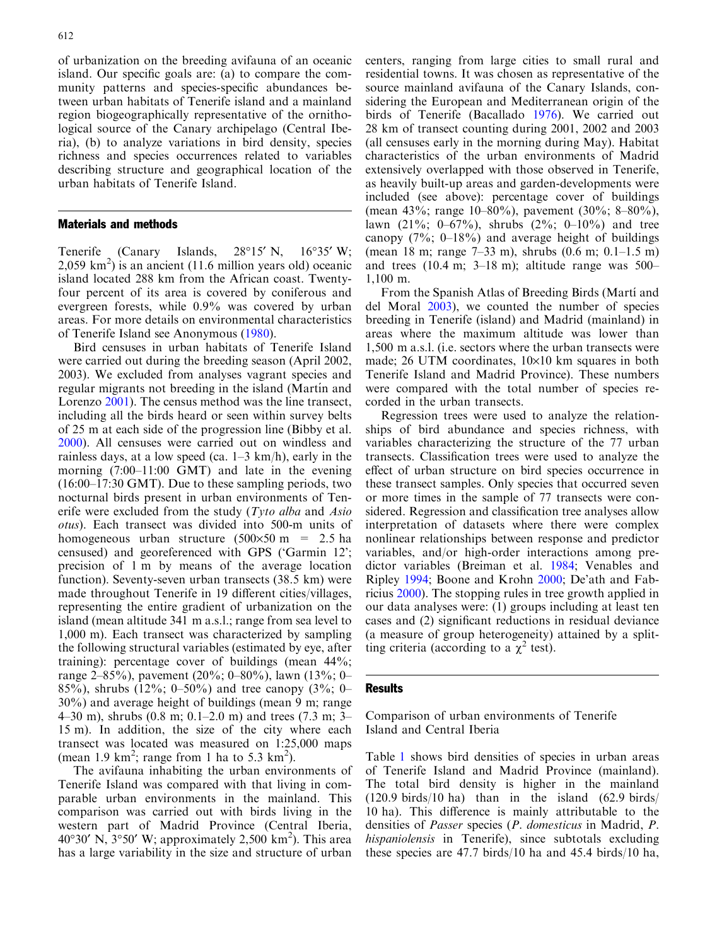of urbanization on the breeding avifauna of an oceanic island. Our specific goals are: (a) to compare the community patterns and species-specific abundances between urban habitats of Tenerife island and a mainland region biogeographically representative of the ornithological source of the Canary archipelago (Central Iberia), (b) to analyze variations in bird density, species richness and species occurrences related to variables describing structure and geographical location of the urban habitats of Tenerife Island.

### Materials and methods

Tenerife (Canary Islands,  $28^{\circ}15'$  N,  $16^{\circ}35'$  W; 2,059 km<sup>2</sup> ) is an ancient (11.6 million years old) oceanic island located 288 km from the African coast. Twentyfour percent of its area is covered by coniferous and evergreen forests, while 0.9% was covered by urban areas. For more details on environmental characteristics of Tenerife Island see Anonymous [\(1980\)](#page-5-0).

Bird censuses in urban habitats of Tenerife Island were carried out during the breeding season (April 2002, 2003). We excluded from analyses vagrant species and regular migrants not breeding in the island (Martín and Lorenzo [2001](#page-5-0)). The census method was the line transect, including all the birds heard or seen within survey belts of 25 m at each side of the progression line (Bibby et al. [2000](#page-5-0)). All censuses were carried out on windless and rainless days, at a low speed (ca. 1–3 km/h), early in the morning (7:00–11:00 GMT) and late in the evening (16:00–17:30 GMT). Due to these sampling periods, two nocturnal birds present in urban environments of Tenerife were excluded from the study  $(Tyto alba$  and Asio otus). Each transect was divided into 500-m units of homogeneous urban structure  $(500 \times 50 \text{ m} = 2.5 \text{ ha})$ censused) and georeferenced with GPS ('Garmin 12'; precision of 1 m by means of the average location function). Seventy-seven urban transects (38.5 km) were made throughout Tenerife in 19 different cities/villages, representing the entire gradient of urbanization on the island (mean altitude 341 m a.s.l.; range from sea level to 1,000 m). Each transect was characterized by sampling the following structural variables (estimated by eye, after training): percentage cover of buildings (mean 44%; range 2–85%), pavement (20%; 0–80%), lawn (13%; 0– 85%), shrubs (12%; 0–50%) and tree canopy (3%; 0– 30%) and average height of buildings (mean 9 m; range 4–30 m), shrubs (0.8 m; 0.1–2.0 m) and trees (7.3 m; 3– 15 m). In addition, the size of the city where each transect was located was measured on 1:25,000 maps (mean 1.9 km<sup>2</sup>; range from 1 ha to 5.3 km<sup>2</sup>).

The avifauna inhabiting the urban environments of Tenerife Island was compared with that living in comparable urban environments in the mainland. This comparison was carried out with birds living in the western part of Madrid Province (Central Iberia, 40°30′ N, 3°50′ W; approximately 2,500 km<sup>2</sup>). This area has a large variability in the size and structure of urban

centers, ranging from large cities to small rural and residential towns. It was chosen as representative of the source mainland avifauna of the Canary Islands, considering the European and Mediterranean origin of the birds of Tenerife (Bacallado [1976](#page-5-0)). We carried out 28 km of transect counting during 2001, 2002 and 2003 (all censuses early in the morning during May). Habitat characteristics of the urban environments of Madrid extensively overlapped with those observed in Tenerife, as heavily built-up areas and garden-developments were included (see above): percentage cover of buildings (mean 43%; range 10–80%), pavement (30%; 8–80%), lawn  $(21\%; 0-67\%)$ , shrubs  $(2\%; 0-10\%)$  and tree canopy  $(7\%; 0-18\%)$  and average height of buildings (mean 18 m; range 7–33 m), shrubs (0.6 m; 0.1–1.5 m) and trees (10.4 m; 3–18 m); altitude range was 500– 1,100 m.

From the Spanish Atlas of Breeding Birds (Martí and del Moral [2003](#page-5-0)), we counted the number of species breeding in Tenerife (island) and Madrid (mainland) in areas where the maximum altitude was lower than 1,500 m a.s.l. (i.e. sectors where the urban transects were made; 26 UTM coordinates,  $10\times10$  km squares in both Tenerife Island and Madrid Province). These numbers were compared with the total number of species recorded in the urban transects.

Regression trees were used to analyze the relationships of bird abundance and species richness, with variables characterizing the structure of the 77 urban transects. Classification trees were used to analyze the effect of urban structure on bird species occurrence in these transect samples. Only species that occurred seven or more times in the sample of 77 transects were considered. Regression and classification tree analyses allow interpretation of datasets where there were complex nonlinear relationships between response and predictor variables, and/or high-order interactions among predictor variables (Breiman et al. [1984;](#page-5-0) Venables and Ripley [1994;](#page-6-0) Boone and Krohn [2000;](#page-5-0) De'ath and Fabricius [2000\)](#page-5-0). The stopping rules in tree growth applied in our data analyses were: (1) groups including at least ten cases and (2) significant reductions in residual deviance (a measure of group heterogeneity) attained by a splitting criteria (according to a  $\chi^2$  test).

#### **Results**

Comparison of urban environments of Tenerife Island and Central Iberia

Table 1 [shows bird densities of species in urban areas](#page-2-0) [of Tenerife Island and Madrid Province \(mainland\).](#page-2-0) [The total bird density is higher in the mainland](#page-2-0) [\(120.9 birds/10 ha\) than in the island \(62.9 birds/](#page-2-0) [10 ha\). This difference is mainly attributable to the](#page-2-0) densities of Passer species ([P. domesticus](#page-2-0) in Madrid, P. hispaniolensis [in Tenerife\), since subtotals excluding](#page-2-0) [these species are 47.7 birds/10 ha and 45.4 birds/10 ha,](#page-2-0)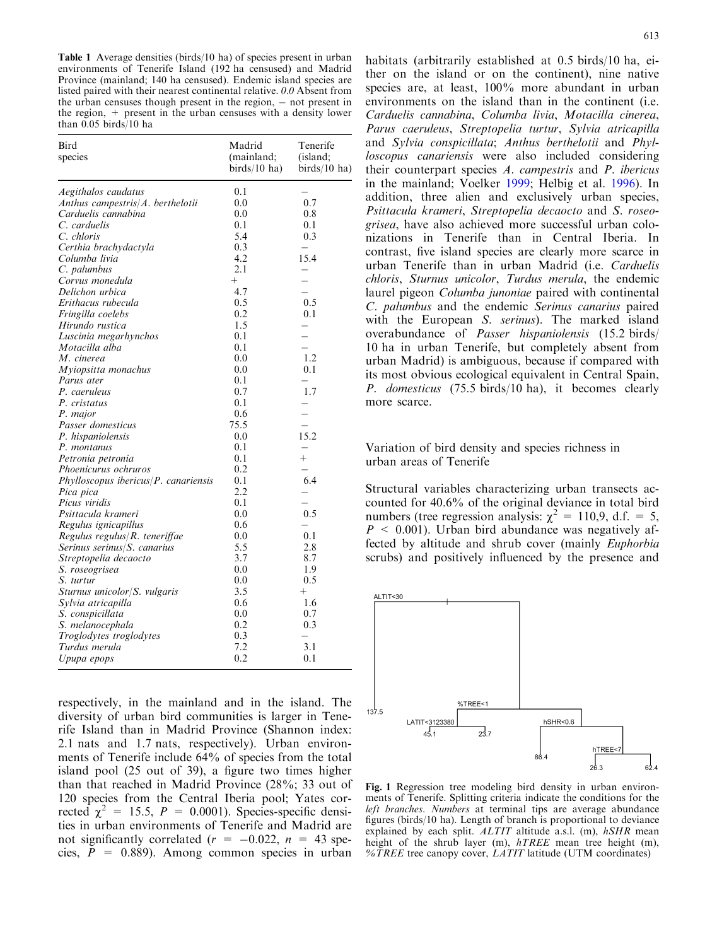<span id="page-2-0"></span>Table 1 Average densities (birds/10 ha) of species present in urban environments of Tenerife Island (192 ha censused) and Madrid Province (mainland; 140 ha censused). Endemic island species are listed paired with their nearest continental relative. 0.0 Absent from the urban censuses though present in the region,  $-$  not present in the region, + present in the urban censuses with a density lower than 0.05 birds/10 ha

| Bird<br>species                           | Madrid<br>(mainland;<br>$birds/10$ ha) | Tenerife<br>(island;<br>$birds/10$ ha) |  |
|-------------------------------------------|----------------------------------------|----------------------------------------|--|
| Aegithalos caudatus                       | 0.1                                    |                                        |  |
| Anthus campestris/ $A$ . berthelotii      | 0.0                                    | 0.7                                    |  |
| Carduelis cannabina                       | 0.0                                    | 0.8                                    |  |
| C. carduelis                              | 0.1                                    | 0.1                                    |  |
| C. chloris                                | 5.4                                    | 0.3                                    |  |
| Certhia brachydactyla                     | 0.3                                    | $\overline{\phantom{0}}$               |  |
| Columba livia                             | 4.2                                    | 15.4                                   |  |
| C. palumbus                               | 2.1                                    |                                        |  |
| Corvus monedula                           | $^{+}$                                 |                                        |  |
| Delichon urbica                           | 4.7                                    |                                        |  |
| Erithacus rubecula                        | 0.5                                    | 0.5                                    |  |
| Fringilla coelebs                         | 0.2                                    | 0.1                                    |  |
| Hirundo rustica                           | 1.5                                    | $\overline{\phantom{0}}$               |  |
| Luscinia megarhynchos                     | 0.1                                    |                                        |  |
| Motacilla alba                            | 0.1                                    |                                        |  |
| M. cinerea                                | 0.0                                    | 1.2                                    |  |
| Myiopsitta monachus                       | 0.0                                    | 0.1                                    |  |
| Parus ater                                | 0.1                                    |                                        |  |
| P. caeruleus                              | 0.7                                    | 1.7                                    |  |
| P. cristatus                              | 0.1                                    |                                        |  |
| P. major                                  | 0.6                                    |                                        |  |
| Passer domesticus                         | 75.5                                   | $\overline{\phantom{0}}$               |  |
| P. hispaniolensis                         | 0.0                                    | 15.2                                   |  |
| P. montanus                               | 0.1                                    |                                        |  |
| Petronia petronia                         | 0.1                                    | $^{+}$                                 |  |
| Phoenicurus ochruros                      | 0.2                                    |                                        |  |
| $Phylloscopy$ ibericus/ $P$ . canariensis | 0.1                                    | 6.4                                    |  |
| Pica pica                                 | 2.2                                    |                                        |  |
| Picus viridis                             | 0.1                                    |                                        |  |
| Psittacula krameri                        | 0.0                                    | 0.5                                    |  |
| Regulus ignicapillus                      | 0.6                                    |                                        |  |
| Regulus regulus/ $R$ . teneriffae         | 0.0                                    | 0.1                                    |  |
| Serinus serinus/S. canarius               | 5.5                                    | 2.8                                    |  |
| Streptopelia decaocto                     | 3.7                                    | 8.7                                    |  |
| S. roseogrisea                            | 0.0                                    | 1.9                                    |  |
| S. turtur                                 | 0.0                                    | 0.5                                    |  |
| Sturnus unicolor/S. vulgaris              | 3.5                                    | $^{+}$                                 |  |
| Sylvia atricapilla                        | 0.6                                    | 1.6                                    |  |
| S. conspicillata                          | 0.0                                    | 0.7                                    |  |
| S. melanocephala                          | 0.2                                    | 0.3                                    |  |
| Troglodytes troglodytes                   | 0.3                                    |                                        |  |
| Turdus merula                             | 7.2                                    | 3.1                                    |  |
| Upupa epops                               | 0.2                                    | 0.1                                    |  |
|                                           |                                        |                                        |  |

respectively, in the mainland and in the island. The diversity of urban bird communities is larger in Tenerife Island than in Madrid Province (Shannon index: 2.1 nats and 1.7 nats, respectively). Urban environments of Tenerife include 64% of species from the total island pool (25 out of 39), a figure two times higher than that reached in Madrid Province (28%; 33 out of 120 species from the Central Iberia pool; Yates corrected  $\chi^2$  = 15.5, P = 0.0001). Species-specific densities in urban environments of Tenerife and Madrid are not significantly correlated  $(r = -0.022, n = 43$  species,  $P = 0.889$ . Among common species in urban

habitats (arbitrarily established at 0.5 birds/10 ha, either on the island or on the continent), nine native species are, at least, 100% more abundant in urban environments on the island than in the continent (i.e. Carduelis cannabina, Columba livia, Motacilla cinerea, Parus caeruleus, Streptopelia turtur, Sylvia atricapilla and Sylvia conspicillata; Anthus berthelotii and Phylloscopus canariensis were also included considering their counterpart species A. campestris and P. ibericus [in the mainland; Voelker](#page-6-0) 1999; Helbig et al. [1996](#page-5-0)). In addition, three alien and exclusively urban species, Psittacula krameri, Streptopelia decaocto and S. roseogrisea, have also achieved more successful urban colonizations in Tenerife than in Central Iberia. In contrast, five island species are clearly more scarce in urban Tenerife than in urban Madrid (i.e. Carduelis chloris, Sturnus unicolor, Turdus merula, the endemic laurel pigeon Columba junoniae paired with continental C. palumbus and the endemic Serinus canarius paired with the European *S. serinus*). The marked island overabundance of Passer hispaniolensis (15.2 birds/ 10 ha in urban Tenerife, but completely absent from urban Madrid) is ambiguous, because if compared with its most obvious ecological equivalent in Central Spain, P. domesticus (75.5 birds/10 ha), it becomes clearly more scarce.

Variation of bird density and species richness in urban areas of Tenerife

Structural variables characterizing urban transects accounted for 40.6% of the original deviance in total bird numbers (tree regression analysis:  $\chi^2 = 110, 9$ , d.f. = 5,  $P \leq 0.001$ ). Urban bird abundance was negatively affected by altitude and shrub cover (mainly Euphorbia scrubs) and positively influenced by the presence and



Fig. 1 Regression tree modeling bird density in urban environments of Tenerife. Splitting criteria indicate the conditions for the left branches. Numbers at terminal tips are average abundance figures (birds/10 ha). Length of branch is proportional to deviance explained by each split.  $ALTIT$  altitude a.s.l. (m),  $hSHR$  mean height of the shrub layer (m), hTREE mean tree height (m),  $\%$ TREE tree canopy cover, *LATIT* latitude (UTM coordinates)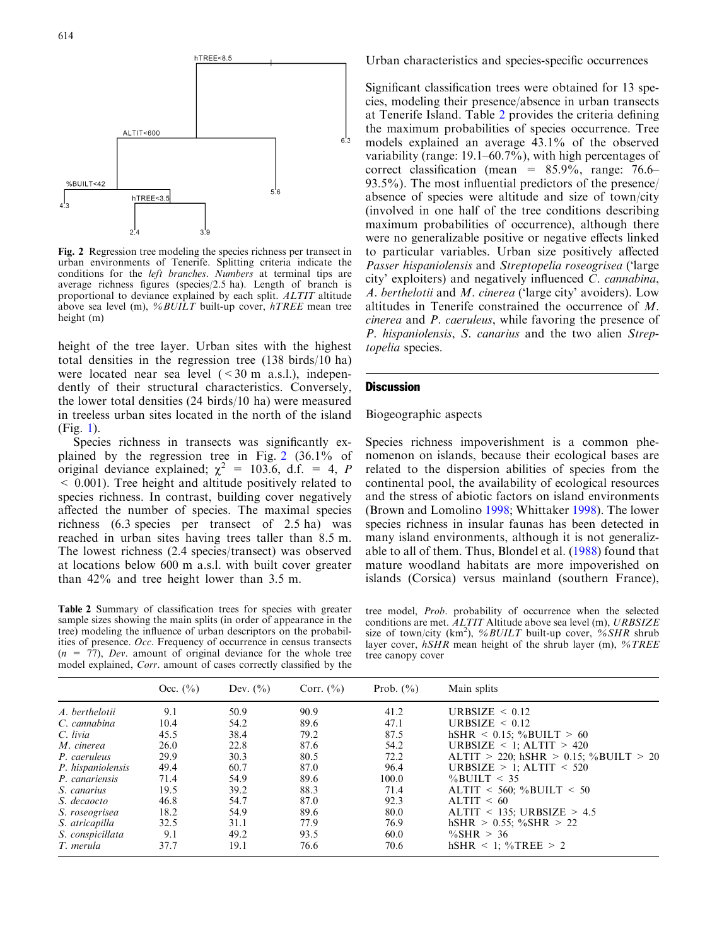<span id="page-3-0"></span>

Fig. 2 Regression tree modeling the species richness per transect in urban environments of Tenerife. Splitting criteria indicate the conditions for the left branches. Numbers at terminal tips are average richness figures (species/2.5 ha). Length of branch is proportional to deviance explained by each split. ALTIT altitude above sea level (m), %BUILT built-up cover, hTREE mean tree height (m)

height of the tree layer. Urban sites with the highest total densities in the regression tree (138 birds/10 ha) were located near sea level  $( $30 \text{ m a.s.}$ l.), indepen$ dently of their structural characteristics. Conversely, the lower total densities (24 birds/10 ha) were measured in treeless urban sites located in the north of the island (Fig. [1\).](#page-2-0)

Species richness in transects was significantly explained by the regression tree in Fig. 2 (36.1% of original deviance explained;  $\chi^2 = 103.6$ , d.f. = 4, P < 0.001). Tree height and altitude positively related to species richness. In contrast, building cover negatively affected the number of species. The maximal species richness (6.3 species per transect of 2.5 ha) was reached in urban sites having trees taller than 8.5 m. The lowest richness (2.4 species/transect) was observed at locations below 600 m a.s.l. with built cover greater than 42% and tree height lower than 3.5 m.

Table 2 Summary of classification trees for species with greater sample sizes showing the main splits (in order of appearance in the tree) modeling the influence of urban descriptors on the probabilities of presence. Occ. Frequency of occurrence in census transects  $(n = 77)$ , Dev. amount of original deviance for the whole tree model explained, Corr. amount of cases correctly classified by the

Urban characteristics and species-specific occurrences

Significant classification trees were obtained for 13 species, modeling their presence/absence in urban transects at Tenerife Island. Table 2 provides the criteria defining the maximum probabilities of species occurrence. Tree models explained an average 43.1% of the observed variability (range: 19.1–60.7%), with high percentages of correct classification (mean =  $85.9\%$ , range: 76.6– 93.5%). The most influential predictors of the presence/ absence of species were altitude and size of town/city (involved in one half of the tree conditions describing maximum probabilities of occurrence), although there were no generalizable positive or negative effects linked to particular variables. Urban size positively affected Passer hispaniolensis and Streptopelia roseogrisea ('large city' exploiters) and negatively influenced C. cannabina, A. berthelotii and M. cinerea ('large city' avoiders). Low altitudes in Tenerife constrained the occurrence of M. cinerea and P. caeruleus, while favoring the presence of P. hispaniolensis, S. canarius and the two alien Streptopelia species.

## **Discussion**

## Biogeographic aspects

Species richness impoverishment is a common phenomenon on islands, because their ecological bases are related to the dispersion abilities of species from the continental pool, the availability of ecological resources and the stress of abiotic factors on island environments (Brown and Lomolino [1998;](#page-5-0) Whittaker [1998](#page-6-0)). The lower species richness in insular faunas has been detected in many island environments, although it is not generalizable to all of them. Thus, Blondel et al. [\(1988\)](#page-5-0) found that mature woodland habitats are more impoverished on islands (Corsica) versus mainland (southern France),

tree model, Prob. probability of occurrence when the selected conditions are met. ALTIT Altitude above sea level (m), URBSIZE size of town/city (km<sup>2</sup>), %BUILT built-up cover, %SHR shrub layer cover,  $hSHR$  mean height of the shrub layer (m),  $\%TREE$ tree canopy cover

|                   | Occ. $(\% )$ | Dev. $(\% )$ | Corr. $(\% )$ | Prob. $(\% )$ | Main splits                           |
|-------------------|--------------|--------------|---------------|---------------|---------------------------------------|
| A. berthelotii    | 9.1          | 50.9         | 90.9          | 41.2          | URBSIZE $\leq 0.12$                   |
| C. cannabina      | 10.4         | 54.2         | 89.6          | 47.1          | URBSIZE $\leq 0.12$                   |
| C. livia          | 45.5         | 38.4         | 79.2          | 87.5          | $hSHR < 0.15$ ; %BUILT > 60           |
| M. cinerea        | 26.0         | 22.8         | 87.6          | 54.2          | URBSIZE $\leq$ 1; ALTIT $>$ 420       |
| P. caeruleus      | 29.9         | 30.3         | 80.5          | 72.2          | ALTIT > 220; hSHR > 0.15; %BUILT > 20 |
| P. hispaniolensis | 49.4         | 60.7         | 87.0          | 96.4          | URBSIZE $> 1$ ; ALTIT < 520           |
| P. canariensis    | 71.4         | 54.9         | 89.6          | 100.0         | $\%$ BUILT < 35                       |
| S. canarius       | 19.5         | 39.2         | 88.3          | 71.4          | $ALTIT < 560$ ; %BUILT < 50           |
| S. decaocto       | 46.8         | 54.7         | 87.0          | 92.3          | ALTIT $< 60$                          |
| S. roseogrisea    | 18.2         | 54.9         | 89.6          | 80.0          | $ALTIT < 135$ ; URBSIZE > 4.5         |
| S. atricapilla    | 32.5         | 31.1         | 77.9          | 76.9          | $hSHR > 0.55$ ; %SHR > 22             |
| S. conspicillata  | 9.1          | 49.2         | 93.5          | 60.0          | $\%$ SHR > 36                         |
| T. merula         | 37.7         | 19.1         | 76.6          | 70.6          | $hSHR < 1$ ; %TREE > 2                |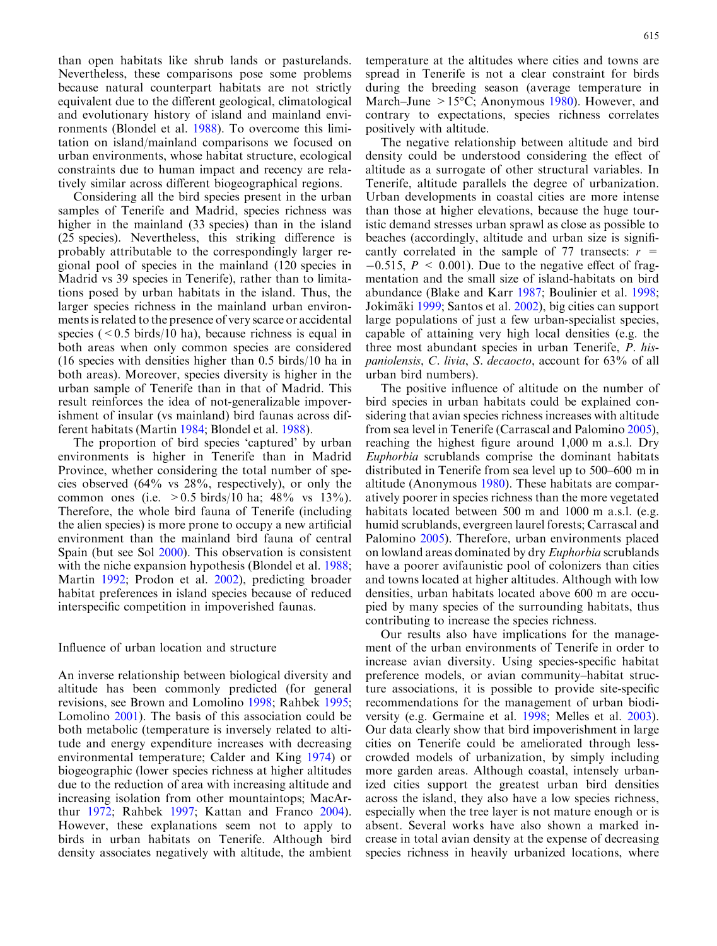than open habitats like shrub lands or pasturelands. Nevertheless, these comparisons pose some problems because natural counterpart habitats are not strictly equivalent due to the different geological, climatological and evolutionary history of island and mainland environments (Blondel et al. [1988](#page-5-0)). To overcome this limitation on island/mainland comparisons we focused on urban environments, whose habitat structure, ecological constraints due to human impact and recency are relatively similar across different biogeographical regions.

Considering all the bird species present in the urban samples of Tenerife and Madrid, species richness was higher in the mainland (33 species) than in the island (25 species). Nevertheless, this striking difference is probably attributable to the correspondingly larger regional pool of species in the mainland (120 species in Madrid vs 39 species in Tenerife), rather than to limitations posed by urban habitats in the island. Thus, the larger species richness in the mainland urban environments is related to the presence of very scarce or accidental species ( $0.5$  birds/10 ha), because richness is equal in both areas when only common species are considered (16 species with densities higher than 0.5 birds/10 ha in both areas). Moreover, species diversity is higher in the urban sample of Tenerife than in that of Madrid. This result reinforces the idea of not-generalizable impoverishment of insular (vs mainland) bird faunas across different habitats (Martin [1984;](#page-5-0) Blondel et al. [1988\)](#page-5-0).

The proportion of bird species 'captured' by urban environments is higher in Tenerife than in Madrid Province, whether considering the total number of species observed (64% vs 28%, respectively), or only the common ones (i.e.  $> 0.5$  birds/10 ha; 48% vs 13%). Therefore, the whole bird fauna of Tenerife (including the alien species) is more prone to occupy a new artificial environment than the mainland bird fauna of central Spain (but see Sol [2000\)](#page-6-0). This observation is consistent with the niche expansion hypothesis (Blondel et al. [1988](#page-5-0); Martin [1992](#page-5-0); Prodon et al. [2002](#page-6-0)), predicting broader habitat preferences in island species because of reduced interspecific competition in impoverished faunas.

# Influence of urban location and structure

An inverse relationship between biological diversity and altitude has been commonly predicted (for general revisions, see Brown and Lomolino [1998;](#page-5-0) Rahbek [1995](#page-6-0); Lomolino [2001](#page-5-0)). The basis of this association could be both metabolic (temperature is inversely related to altitude and energy expenditure increases with decreasing environmental temperature; Calder and King [1974\)](#page-5-0) or biogeographic (lower species richness at higher altitudes due to the reduction of area with increasing altitude and increasing isolation from other mountaintops; MacArthur [1972;](#page-5-0) Rahbek [1997](#page-6-0); Kattan and Franco [2004\)](#page-5-0). However, these explanations seem not to apply to birds in urban habitats on Tenerife. Although bird density associates negatively with altitude, the ambient

temperature at the altitudes where cities and towns are spread in Tenerife is not a clear constraint for birds during the breeding season (average temperature in March–June  $> 15^{\circ}$ C; Anonymous [1980\)](#page-5-0). However, and contrary to expectations, species richness correlates positively with altitude.

The negative relationship between altitude and bird density could be understood considering the effect of altitude as a surrogate of other structural variables. In Tenerife, altitude parallels the degree of urbanization. Urban developments in coastal cities are more intense than those at higher elevations, because the huge touristic demand stresses urban sprawl as close as possible to beaches (accordingly, altitude and urban size is significantly correlated in the sample of 77 transects:  $r =$  $-0.515$ ,  $P < 0.001$ ). Due to the negative effect of fragmentation and the small size of island-habitats on bird abundance (Blake and Karr [1987](#page-5-0); Boulinier et al. [1998](#page-5-0); Jokimäki [1999](#page-5-0); Santos et al. [2002](#page-6-0)), big cities can support large populations of just a few urban-specialist species, capable of attaining very high local densities (e.g. the three most abundant species in urban Tenerife, P. hispaniolensis, C. livia, S. decaocto, account for 63% of all urban bird numbers).

The positive influence of altitude on the number of bird species in urban habitats could be explained considering that avian species richness increases with altitude from sea level in Tenerife (Carrascal and Palomino [2005\)](#page-5-0), reaching the highest figure around 1,000 m a.s.l. Dry Euphorbia scrublands comprise the dominant habitats distributed in Tenerife from sea level up to 500–600 m in altitude (Anonymous [1980](#page-5-0)). These habitats are comparatively poorer in species richness than the more vegetated habitats located between 500 m and 1000 m a.s.l. (e.g. humid scrublands, evergreen laurel forests; Carrascal and Palomino [2005](#page-5-0)). Therefore, urban environments placed on lowland areas dominated by dry Euphorbia scrublands have a poorer avifaunistic pool of colonizers than cities and towns located at higher altitudes. Although with low densities, urban habitats located above 600 m are occupied by many species of the surrounding habitats, thus contributing to increase the species richness.

Our results also have implications for the management of the urban environments of Tenerife in order to increase avian diversity. Using species-specific habitat preference models, or avian community–habitat structure associations, it is possible to provide site-specific recommendations for the management of urban biodiversity (e.g. Germaine et al. [1998;](#page-5-0) Melles et al. [2003\)](#page-5-0). Our data clearly show that bird impoverishment in large cities on Tenerife could be ameliorated through lesscrowded models of urbanization, by simply including more garden areas. Although coastal, intensely urbanized cities support the greatest urban bird densities across the island, they also have a low species richness, especially when the tree layer is not mature enough or is absent. Several works have also shown a marked increase in total avian density at the expense of decreasing species richness in heavily urbanized locations, where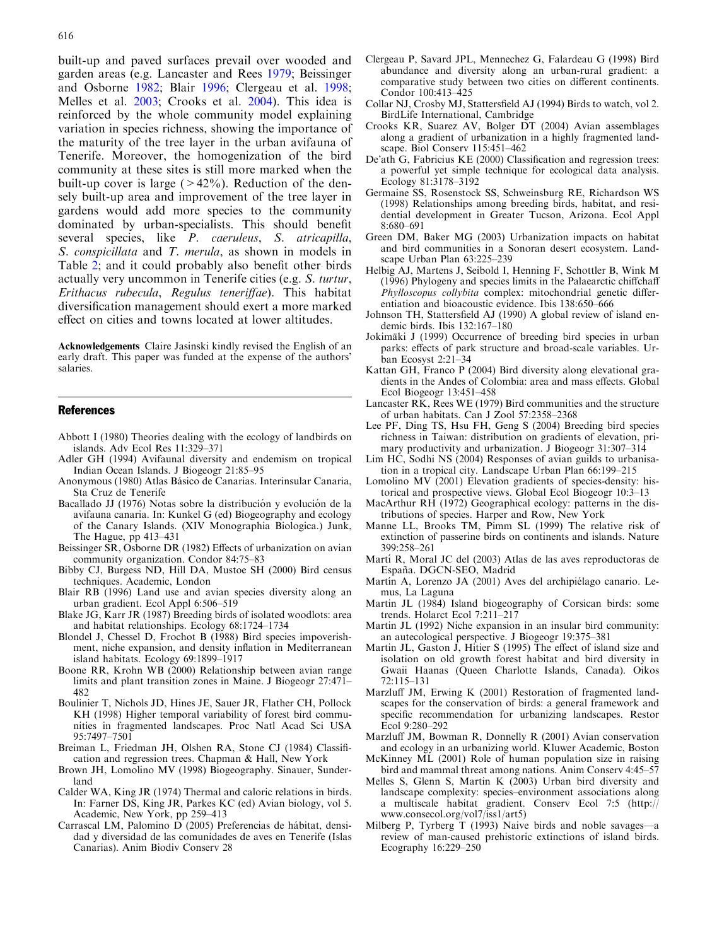<span id="page-5-0"></span>built-up and paved surfaces prevail over wooded and garden areas (e.g. Lancaster and Rees 1979; Beissinger and Osborne 1982; Blair 1996; Clergeau et al. 1998; Melles et al. 2003; Crooks et al. 2004). This idea is reinforced by the whole community model explaining variation in species richness, showing the importance of the maturity of the tree layer in the urban avifauna of Tenerife. Moreover, the homogenization of the bird community at these sites is still more marked when the built-up cover is large  $(>42\%)$ . Reduction of the densely built-up area and improvement of the tree layer in gardens would add more species to the community dominated by urban-specialists. This should benefit several species, like P. caeruleus, S. atricapilla, S. conspicillata and T. merula, as shown in models in Table [2; and it could probably also benefit other birds](#page-3-0) [actually very uncommon in Tenerife cities \(e.g.](#page-3-0) S. turtur, [Erithacus rubecula](#page-3-0), Regulus teneriffae). This habitat [diversification management should exert a more marked](#page-3-0) [effect on cities and towns located at lower altitudes.](#page-3-0)

Acknowledgements Claire Jasinski kindly revised the English of an early draft. This paper was funded at the expense of the authors' salaries.

## References

- Abbott I (1980) Theories dealing with the ecology of landbirds on islands. Adv Ecol Res 11:329–371
- Adler GH (1994) Avifaunal diversity and endemism on tropical Indian Ocean Islands. J Biogeogr 21:85–95
- Anonymous (1980) Atlas Básico de Canarias. Interinsular Canaria, Sta Cruz de Tenerife
- Bacallado JJ (1976) Notas sobre la distribución y evolución de la avifauna canaria. In: Kunkel G (ed) Biogeography and ecology of the Canary Islands. (XIV Monographia Biologica.) Junk, The Hague, pp 413–431
- Beissinger SR, Osborne DR (1982) Effects of urbanization on avian community organization. Condor 84:75–83
- Bibby CJ, Burgess ND, Hill DA, Mustoe SH (2000) Bird census techniques. Academic, London
- Blair RB (1996) Land use and avian species diversity along an urban gradient. Ecol Appl 6:506–519
- Blake JG, Karr JR (1987) Breeding birds of isolated woodlots: area and habitat relationships. Ecology 68:1724–1734
- Blondel J, Chessel D, Frochot B (1988) Bird species impoverishment, niche expansion, and density inflation in Mediterranean island habitats. Ecology 69:1899–1917
- Boone RR, Krohn WB (2000) Relationship between avian range limits and plant transition zones in Maine. J Biogeogr 27:471– 482
- Boulinier T, Nichols JD, Hines JE, Sauer JR, Flather CH, Pollock KH (1998) Higher temporal variability of forest bird communities in fragmented landscapes. Proc Natl Acad Sci USA 95:7497–7501
- Breiman L, Friedman JH, Olshen RA, Stone CJ (1984) Classification and regression trees. Chapman & Hall, New York
- Brown JH, Lomolino MV (1998) Biogeography. Sinauer, Sunderland
- Calder WA, King JR (1974) Thermal and caloric relations in birds. In: Farner DS, King JR, Parkes KC (ed) Avian biology, vol 5. Academic, New York, pp 259–413
- Carrascal LM, Palomino D (2005) Preferencias de hábitat, densidad y diversidad de las comunidades de aves en Tenerife (Islas Canarias). Anim Biodiv Conserv 28
- Clergeau P, Savard JPL, Mennechez G, Falardeau G (1998) Bird abundance and diversity along an urban-rural gradient: a comparative study between two cities on different continents. Condor 100:413–425
- Collar NJ, Crosby MJ, Stattersfield AJ (1994) Birds to watch, vol 2. BirdLife International, Cambridge
- Crooks KR, Suarez AV, Bolger DT (2004) Avian assemblages along a gradient of urbanization in a highly fragmented landscape. Biol Conserv 115:451–462
- De'ath G, Fabricius KE (2000) Classification and regression trees: a powerful yet simple technique for ecological data analysis. Ecology 81:3178–3192
- Germaine SS, Rosenstock SS, Schweinsburg RE, Richardson WS (1998) Relationships among breeding birds, habitat, and residential development in Greater Tucson, Arizona. Ecol Appl 8:680–691
- Green DM, Baker MG (2003) Urbanization impacts on habitat and bird communities in a Sonoran desert ecosystem. Landscape Urban Plan 63:225–239
- Helbig AJ, Martens J, Seibold I, Henning F, Schottler B, Wink M (1996) Phylogeny and species limits in the Palaearctic chiffchaff Phylloscopus collybita complex: mitochondrial genetic differentiation and bioacoustic evidence. Ibis 138:650–666
- Johnson TH, Stattersfield AJ (1990) A global review of island endemic birds. Ibis 132:167–180
- Jokimäki J (1999) Occurrence of breeding bird species in urban parks: effects of park structure and broad-scale variables. Urban Ecosyst 2:21–34
- Kattan GH, Franco P (2004) Bird diversity along elevational gradients in the Andes of Colombia: area and mass effects. Global Ecol Biogeogr 13:451–458
- Lancaster RK, Rees WE (1979) Bird communities and the structure of urban habitats. Can J Zool 57:2358–2368
- Lee PF, Ding TS, Hsu FH, Geng S (2004) Breeding bird species richness in Taiwan: distribution on gradients of elevation, primary productivity and urbanization. J Biogeogr 31:307–314
- Lim HC, Sodhi NS (2004) Responses of avian guilds to urbanisation in a tropical city. Landscape Urban Plan 66:199–215
- Lomolino MV (2001) Elevation gradients of species-density: historical and prospective views. Global Ecol Biogeogr 10:3–13
- MacArthur RH (1972) Geographical ecology: patterns in the distributions of species. Harper and Row, New York
- Manne LL, Brooks TM, Pimm SL (1999) The relative risk of extinction of passerine birds on continents and islands. Nature 399:258–261
- Martí R, Moral JC del (2003) Atlas de las aves reproductoras de España. DGCN-SEO, Madrid
- Martín A, Lorenzo JA (2001) Aves del archipiélago canario. Lemus, La Laguna
- Martin JL (1984) Island biogeography of Corsican birds: some trends. Holarct Ecol 7:211–217
- Martin JL (1992) Niche expansion in an insular bird community: an autecological perspective. J Biogeogr 19:375–381
- Martin JL, Gaston J, Hitier S (1995) The effect of island size and isolation on old growth forest habitat and bird diversity in Gwaii Haanas (Queen Charlotte Islands, Canada). Oikos 72:115–131
- Marzluff JM, Erwing K (2001) Restoration of fragmented landscapes for the conservation of birds: a general framework and specific recommendation for urbanizing landscapes. Restor Ecol 9:280–292
- Marzluff JM, Bowman R, Donnelly R (2001) Avian conservation and ecology in an urbanizing world. Kluwer Academic, Boston
- McKinney ML (2001) Role of human population size in raising bird and mammal threat among nations. Anim Conserv 4:45–57
- Melles S, Glenn S, Martin K (2003) Urban bird diversity and landscape complexity: species–environment associations along a multiscale habitat gradient. Conserv Ecol 7:5 (http:// www.consecol.org/vol7/iss1/art5)
- Milberg P, Tyrberg T (1993) Naive birds and noble savages—a review of man-caused prehistoric extinctions of island birds. Ecography 16:229–250